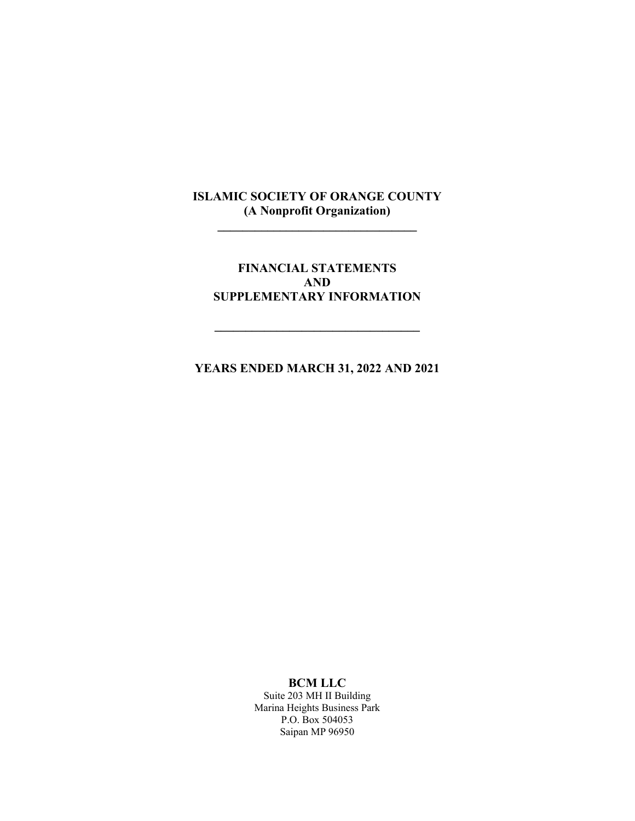**\_\_\_\_\_\_\_\_\_\_\_\_\_\_\_\_\_\_\_\_\_\_\_\_\_\_\_\_\_\_\_\_** 

## **FINANCIAL STATEMENTS AND SUPPLEMENTARY INFORMATION**

 $\mathcal{L}=\mathcal{L}^{\mathcal{L}}$ 

**YEARS ENDED MARCH 31, 2022 AND 2021** 

#### **BCM LLC**

Suite 203 MH II Building Marina Heights Business Park P.O. Box 504053 Saipan MP 96950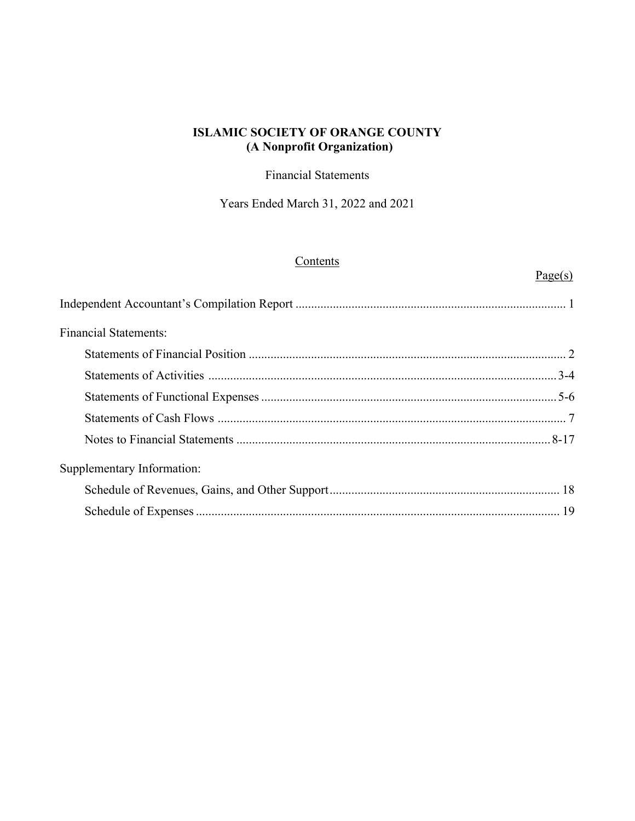Financial Statements

Years Ended March 31, 2022 and 2021

## **Contents**

# $Page(s)$

| <b>Financial Statements:</b> |  |
|------------------------------|--|
|                              |  |
|                              |  |
|                              |  |
|                              |  |
|                              |  |
| Supplementary Information:   |  |
|                              |  |
|                              |  |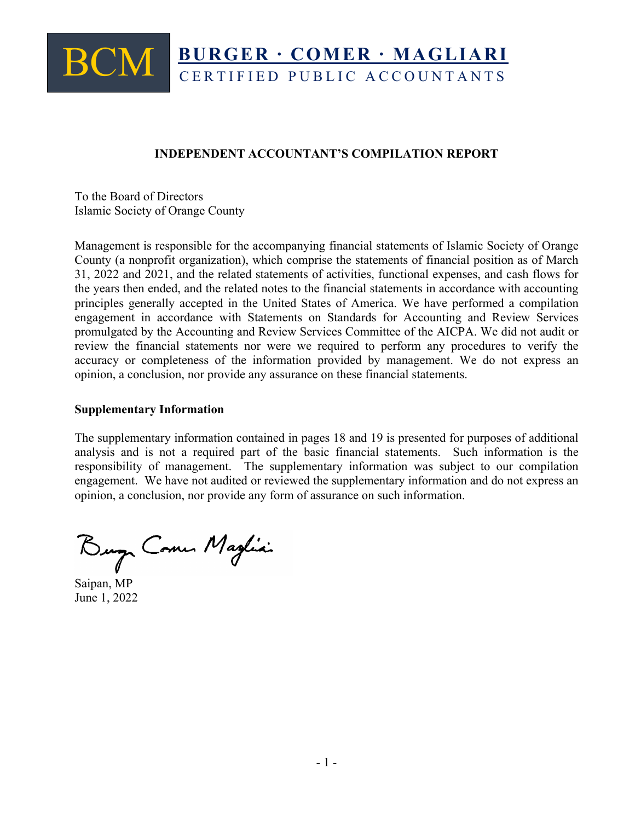# BCM **BURGER ∙ COMER ∙ MAGLIARI**  CERTIFIED PUBLIC ACCOUNTANTS

## **INDEPENDENT ACCOUNTANT'S COMPILATION REPORT**

To the Board of Directors Islamic Society of Orange County

Management is responsible for the accompanying financial statements of Islamic Society of Orange County (a nonprofit organization), which comprise the statements of financial position as of March 31, 2022 and 2021, and the related statements of activities, functional expenses, and cash flows for the years then ended, and the related notes to the financial statements in accordance with accounting principles generally accepted in the United States of America. We have performed a compilation engagement in accordance with Statements on Standards for Accounting and Review Services promulgated by the Accounting and Review Services Committee of the AICPA. We did not audit or review the financial statements nor were we required to perform any procedures to verify the accuracy or completeness of the information provided by management. We do not express an opinion, a conclusion, nor provide any assurance on these financial statements.

#### **Supplementary Information**

The supplementary information contained in pages 18 and 19 is presented for purposes of additional analysis and is not a required part of the basic financial statements. Such information is the responsibility of management. The supplementary information was subject to our compilation engagement. We have not audited or reviewed the supplementary information and do not express an opinion, a conclusion, nor provide any form of assurance on such information.

Burg Come Maglia

Saipan, MP June 1, 2022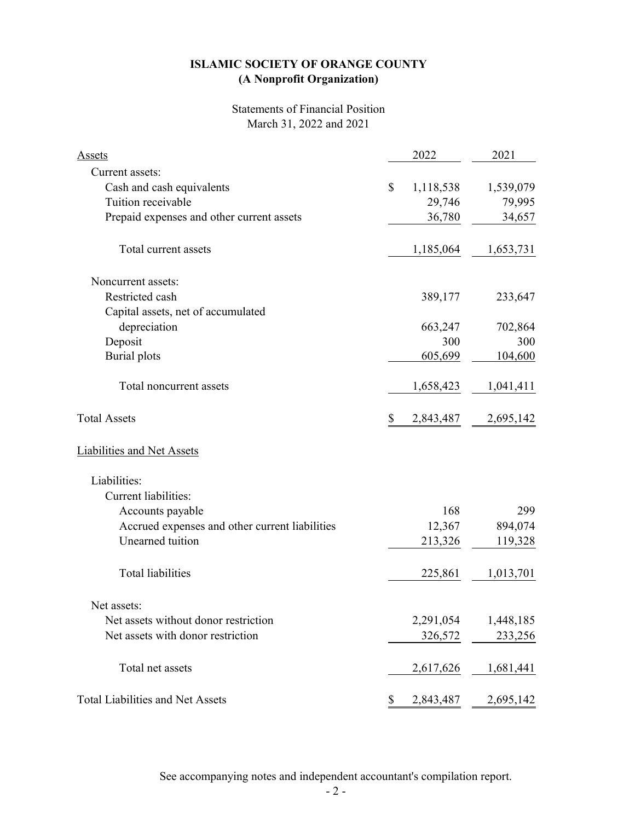## Statements of Financial Position March 31, 2022 and 2021

| <b>Assets</b>                                  |              | 2022      | 2021      |
|------------------------------------------------|--------------|-----------|-----------|
| Current assets:                                |              |           |           |
| Cash and cash equivalents                      | $\mathbb{S}$ | 1,118,538 | 1,539,079 |
| Tuition receivable                             |              | 29,746    | 79,995    |
| Prepaid expenses and other current assets      |              | 36,780    | 34,657    |
| Total current assets                           |              | 1,185,064 | 1,653,731 |
| Noncurrent assets:                             |              |           |           |
| Restricted cash                                |              | 389,177   | 233,647   |
| Capital assets, net of accumulated             |              |           |           |
| depreciation                                   |              | 663,247   | 702,864   |
| Deposit                                        |              | 300       | 300       |
| <b>Burial</b> plots                            |              | 605,699   | 104,600   |
| Total noncurrent assets                        |              | 1,658,423 | 1,041,411 |
| <b>Total Assets</b>                            | \$           | 2,843,487 | 2,695,142 |
| <b>Liabilities and Net Assets</b>              |              |           |           |
| Liabilities:                                   |              |           |           |
| <b>Current liabilities:</b>                    |              |           |           |
| Accounts payable                               |              | 168       | 299       |
| Accrued expenses and other current liabilities |              | 12,367    | 894,074   |
| Unearned tuition                               |              | 213,326   | 119,328   |
| <b>Total liabilities</b>                       |              | 225,861   | 1,013,701 |
| Net assets:                                    |              |           |           |
| Net assets without donor restriction           |              | 2,291,054 | 1,448,185 |
| Net assets with donor restriction              |              | 326,572   | 233,256   |
| Total net assets                               |              | 2,617,626 | 1,681,441 |
| <b>Total Liabilities and Net Assets</b>        | \$           | 2,843,487 | 2,695,142 |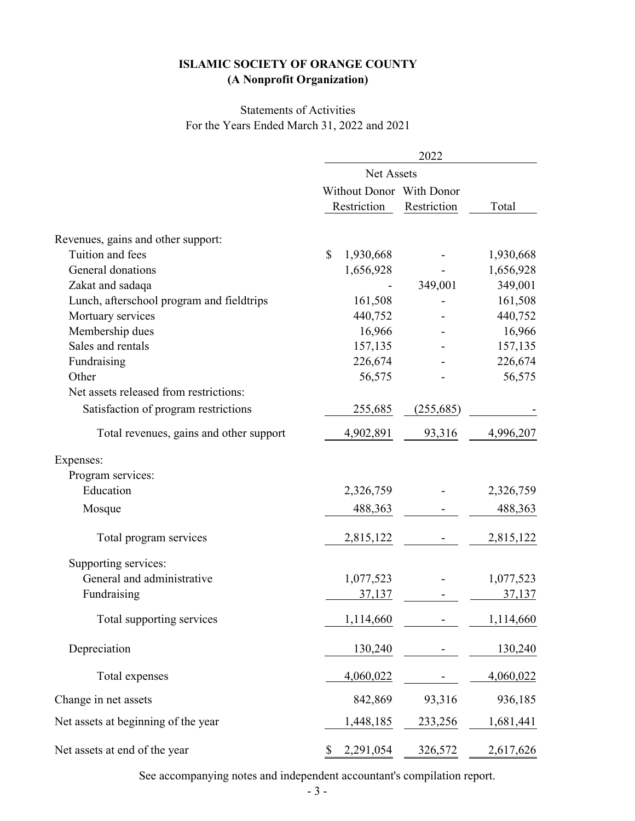## For the Years Ended March 31, 2022 and 2021 Statements of Activities

|                                           | 2022                                    |             |               |  |  |
|-------------------------------------------|-----------------------------------------|-------------|---------------|--|--|
|                                           | Net Assets                              |             |               |  |  |
|                                           | Without Donor With Donor<br>Restriction | Restriction | Total         |  |  |
|                                           |                                         |             |               |  |  |
| Revenues, gains and other support:        |                                         |             |               |  |  |
| Tuition and fees                          | $\mathbb{S}$<br>1,930,668               |             | 1,930,668     |  |  |
| General donations                         | 1,656,928                               |             | 1,656,928     |  |  |
| Zakat and sadaqa                          |                                         | 349,001     | 349,001       |  |  |
| Lunch, afterschool program and fieldtrips | 161,508                                 |             | 161,508       |  |  |
| Mortuary services                         | 440,752                                 |             | 440,752       |  |  |
| Membership dues                           | 16,966                                  |             | 16,966        |  |  |
| Sales and rentals                         | 157,135                                 |             | 157,135       |  |  |
| Fundraising                               | 226,674                                 |             | 226,674       |  |  |
| Other                                     | 56,575                                  |             | 56,575        |  |  |
| Net assets released from restrictions:    |                                         |             |               |  |  |
| Satisfaction of program restrictions      | 255,685                                 | (255, 685)  |               |  |  |
| Total revenues, gains and other support   | 4,902,891                               | 93,316      | 4,996,207     |  |  |
| Expenses:                                 |                                         |             |               |  |  |
| Program services:                         |                                         |             |               |  |  |
| Education                                 | 2,326,759                               |             | 2,326,759     |  |  |
| Mosque                                    | 488,363                                 |             | 488,363       |  |  |
| Total program services                    | 2,815,122                               |             | 2,815,122     |  |  |
| Supporting services:                      |                                         |             |               |  |  |
| General and administrative                | 1,077,523                               |             | 1,077,523     |  |  |
| Fundraising                               | 37,137                                  |             | <u>37,137</u> |  |  |
| Total supporting services                 | 1,114,660                               |             | 1,114,660     |  |  |
| Depreciation                              | 130,240                                 |             | 130,240       |  |  |
| Total expenses                            | 4,060,022                               |             | 4,060,022     |  |  |
| Change in net assets                      | 842,869                                 | 93,316      | 936,185       |  |  |
| Net assets at beginning of the year       | 1,448,185                               | 233,256     | 1,681,441     |  |  |
| Net assets at end of the year             | 2,291,054<br>\$                         | 326,572     | 2,617,626     |  |  |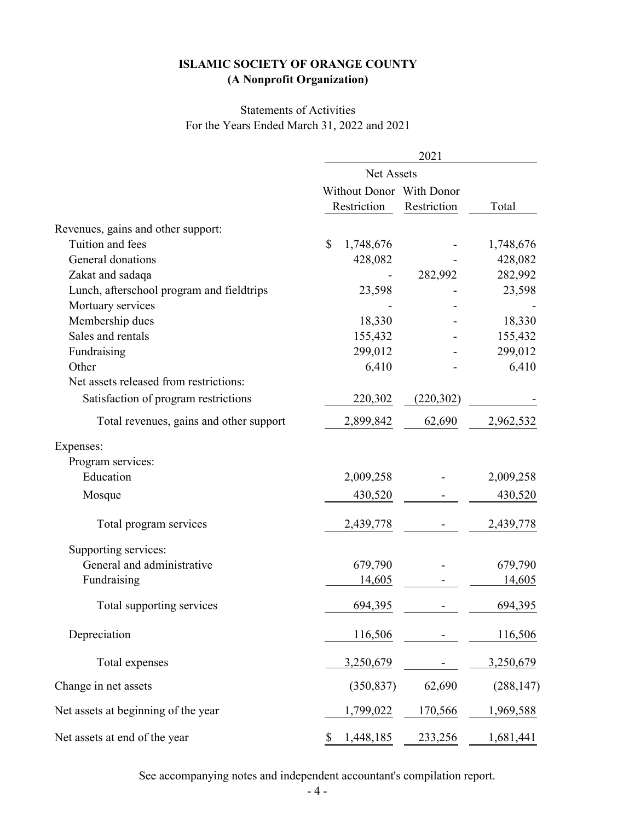# For the Years Ended March 31, 2022 and 2021 Statements of Activities

|                                           | 2021                      |             |            |  |  |
|-------------------------------------------|---------------------------|-------------|------------|--|--|
|                                           | Net Assets                |             |            |  |  |
|                                           | Without Donor With Donor  |             |            |  |  |
|                                           | Restriction               | Restriction | Total      |  |  |
| Revenues, gains and other support:        |                           |             |            |  |  |
| Tuition and fees                          | $\mathbb{S}$<br>1,748,676 |             | 1,748,676  |  |  |
| General donations                         | 428,082                   |             | 428,082    |  |  |
| Zakat and sadaqa                          |                           | 282,992     | 282,992    |  |  |
| Lunch, afterschool program and fieldtrips | 23,598                    |             | 23,598     |  |  |
| Mortuary services                         |                           |             |            |  |  |
| Membership dues                           | 18,330                    |             | 18,330     |  |  |
| Sales and rentals                         | 155,432                   |             | 155,432    |  |  |
| Fundraising                               | 299,012                   |             | 299,012    |  |  |
| Other                                     | 6,410                     |             | 6,410      |  |  |
| Net assets released from restrictions:    |                           |             |            |  |  |
| Satisfaction of program restrictions      | 220,302                   | (220, 302)  |            |  |  |
| Total revenues, gains and other support   | 2,899,842                 | 62,690      | 2,962,532  |  |  |
| Expenses:                                 |                           |             |            |  |  |
| Program services:                         |                           |             |            |  |  |
| Education                                 | 2,009,258                 |             | 2,009,258  |  |  |
| Mosque                                    | 430,520                   |             | 430,520    |  |  |
| Total program services                    | 2,439,778                 |             | 2,439,778  |  |  |
| Supporting services:                      |                           |             |            |  |  |
| General and administrative                | 679,790                   |             | 679,790    |  |  |
| Fundraising                               | 14,605                    |             | 14,605     |  |  |
| Total supporting services                 | 694,395                   |             | 694,395    |  |  |
| Depreciation                              | 116,506                   |             | 116,506    |  |  |
| Total expenses                            | 3,250,679                 |             | 3,250,679  |  |  |
| Change in net assets                      | (350, 837)                | 62,690      | (288, 147) |  |  |
| Net assets at beginning of the year       | 1,799,022                 | 170,566     | 1,969,588  |  |  |
| Net assets at end of the year             | \$<br>1,448,185           | 233,256     | 1,681,441  |  |  |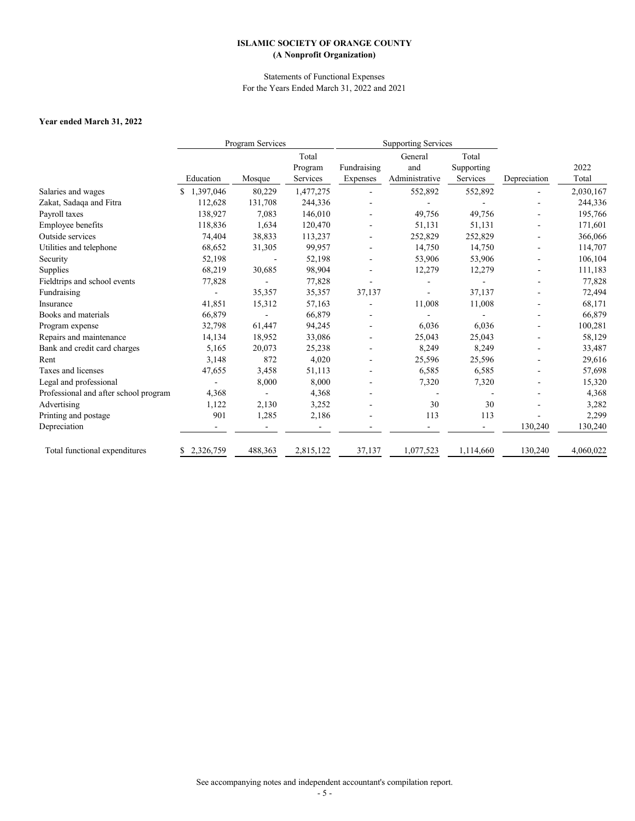# **Year ended March 31, 2022**

|                                       | Program Services |         |           | <b>Supporting Services</b> |                |            |              |           |
|---------------------------------------|------------------|---------|-----------|----------------------------|----------------|------------|--------------|-----------|
|                                       |                  |         | Total     |                            | General        | Total      |              |           |
|                                       |                  |         | Program   | Fundraising                | and            | Supporting |              | 2022      |
|                                       | Education        | Mosque  | Services  | Expenses                   | Administrative | Services   | Depreciation | Total     |
| Salaries and wages                    | 1,397,046        | 80,229  | 1,477,275 |                            | 552,892        | 552,892    |              | 2,030,167 |
| Zakat, Sadaqa and Fitra               | 112,628          | 131,708 | 244,336   |                            |                |            |              | 244,336   |
| Payroll taxes                         | 138,927          | 7,083   | 146,010   |                            | 49,756         | 49,756     |              | 195,766   |
| Employee benefits                     | 118,836          | 1,634   | 120,470   |                            | 51,131         | 51,131     |              | 171,601   |
| Outside services                      | 74,404           | 38,833  | 113,237   |                            | 252,829        | 252,829    |              | 366,066   |
| Utilities and telephone               | 68,652           | 31,305  | 99,957    |                            | 14,750         | 14,750     |              | 114,707   |
| Security                              | 52,198           |         | 52,198    |                            | 53,906         | 53,906     |              | 106,104   |
| Supplies                              | 68,219           | 30,685  | 98,904    |                            | 12,279         | 12,279     |              | 111,183   |
| Fieldtrips and school events          | 77,828           |         | 77,828    |                            |                |            |              | 77,828    |
| Fundraising                           |                  | 35,357  | 35,357    | 37,137                     |                | 37,137     |              | 72,494    |
| Insurance                             | 41,851           | 15,312  | 57,163    |                            | 11,008         | 11,008     |              | 68,171    |
| Books and materials                   | 66,879           |         | 66,879    |                            |                |            |              | 66,879    |
| Program expense                       | 32,798           | 61,447  | 94,245    |                            | 6,036          | 6,036      |              | 100,281   |
| Repairs and maintenance               | 14,134           | 18,952  | 33,086    |                            | 25,043         | 25,043     |              | 58,129    |
| Bank and credit card charges          | 5,165            | 20,073  | 25,238    |                            | 8,249          | 8,249      |              | 33,487    |
| Rent                                  | 3,148            | 872     | 4,020     |                            | 25,596         | 25,596     |              | 29,616    |
| Taxes and licenses                    | 47,655           | 3,458   | 51,113    |                            | 6,585          | 6,585      |              | 57,698    |
| Legal and professional                |                  | 8,000   | 8,000     |                            | 7,320          | 7,320      |              | 15,320    |
| Professional and after school program | 4,368            |         | 4,368     |                            |                |            |              | 4,368     |
| Advertising                           | 1,122            | 2,130   | 3,252     |                            | 30             | 30         |              | 3,282     |
| Printing and postage                  | 901              | 1,285   | 2,186     |                            | 113            | 113        |              | 2,299     |
| Depreciation                          |                  |         |           |                            |                |            | 130,240      | 130,240   |
| Total functional expenditures         | \$2,326,759      | 488,363 | 2,815,122 | 37,137                     | 1,077,523      | 1,114,660  | 130,240      | 4,060,022 |

# **ISLAMIC SOCIETY OF ORANGE COUNTY (A Nonprofit Organization)**

Statements of Functional Expenses For the Years Ended March 31, 2022 and 2021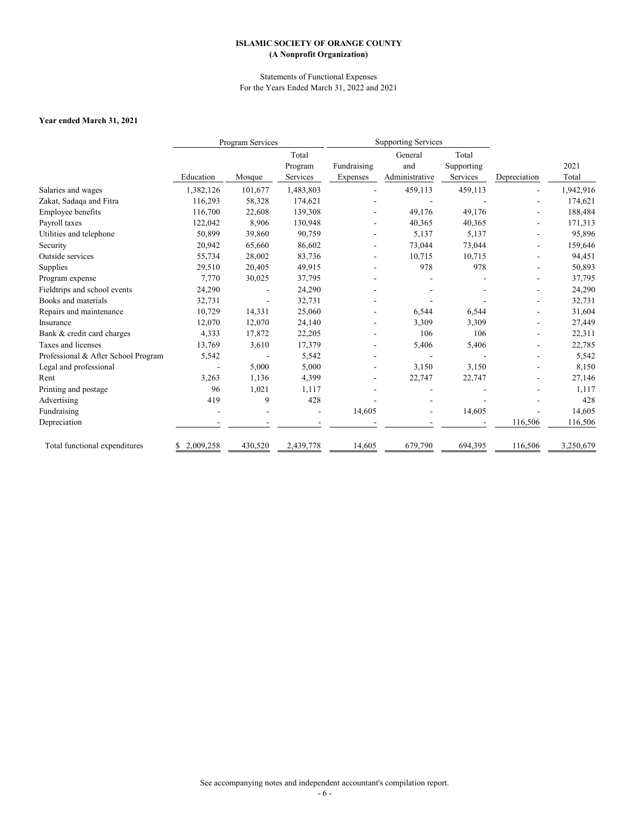# **Year ended March 31, 2021**

|                                     |                 | Program Services |           | <b>Supporting Services</b> |                |            |              |           |
|-------------------------------------|-----------------|------------------|-----------|----------------------------|----------------|------------|--------------|-----------|
|                                     |                 |                  | Total     |                            | General        | Total      |              |           |
|                                     |                 |                  | Program   | Fundraising                | and            | Supporting |              | 2021      |
|                                     | Education       | Mosque           | Services  | Expenses                   | Administrative | Services   | Depreciation | Total     |
| Salaries and wages                  | 1,382,126       | 101,677          | 1,483,803 |                            | 459,113        | 459,113    |              | 1,942,916 |
| Zakat, Sadaqa and Fitra             | 116,293         | 58,328           | 174,621   |                            |                |            |              | 174,621   |
| Employee benefits                   | 116,700         | 22,608           | 139,308   |                            | 49,176         | 49,176     |              | 188,484   |
| Payroll taxes                       | 122,042         | 8,906            | 130,948   |                            | 40,365         | 40,365     |              | 171,313   |
| Utilities and telephone             | 50,899          | 39,860           | 90,759    |                            | 5,137          | 5,137      |              | 95,896    |
| Security                            | 20,942          | 65,660           | 86,602    |                            | 73,044         | 73,044     |              | 159,646   |
| Outside services                    | 55,734          | 28,002           | 83,736    |                            | 10,715         | 10,715     |              | 94,451    |
| Supplies                            | 29,510          | 20,405           | 49,915    |                            | 978            | 978        |              | 50,893    |
| Program expense                     | 7,770           | 30,025           | 37,795    |                            |                |            |              | 37,795    |
| Fieldtrips and school events        | 24,290          |                  | 24,290    |                            |                |            |              | 24,290    |
| Books and materials                 | 32,731          |                  | 32,731    |                            |                |            |              | 32,731    |
| Repairs and maintenance             | 10,729          | 14,331           | 25,060    |                            | 6,544          | 6,544      |              | 31,604    |
| Insurance                           | 12,070          | 12,070           | 24,140    |                            | 3,309          | 3,309      |              | 27,449    |
| Bank & credit card charges          | 4,333           | 17,872           | 22,205    |                            | 106            | 106        |              | 22,311    |
| Taxes and licenses                  | 13,769          | 3,610            | 17,379    |                            | 5,406          | 5,406      |              | 22,785    |
| Professional & After School Program | 5,542           |                  | 5,542     |                            |                |            |              | 5,542     |
| Legal and professional              |                 | 5,000            | 5,000     |                            | 3,150          | 3,150      |              | 8,150     |
| Rent                                | 3,263           | 1,136            | 4,399     |                            | 22,747         | 22,747     |              | 27,146    |
| Printing and postage                | 96              | 1,021            | 1,117     |                            |                |            |              | 1,117     |
| Advertising                         | 419             | 9                | 428       |                            |                |            |              | 428       |
| Fundraising                         |                 |                  |           | 14,605                     |                | 14,605     |              | 14,605    |
| Depreciation                        |                 |                  |           |                            |                |            | 116,506      | 116,506   |
| Total functional expenditures       | 2,009,258<br>\$ | 430,520          | 2,439,778 | 14,605                     | 679,790        | 694,395    | 116,506      | 3,250,679 |

# **ISLAMIC SOCIETY OF ORANGE COUNTY (A Nonprofit Organization)**

Statements of Functional Expenses For the Years Ended March 31, 2022 and 2021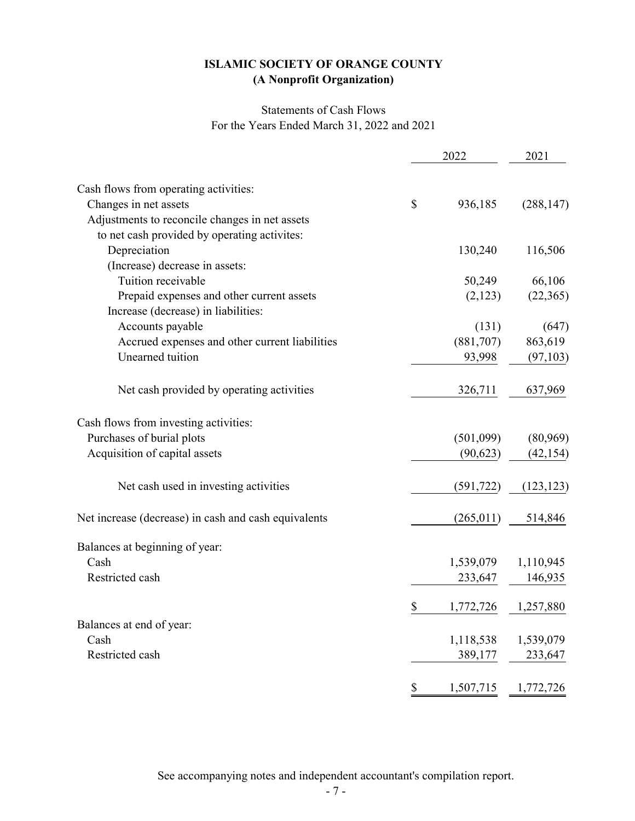# Statements of Cash Flows For the Years Ended March 31, 2022 and 2021

|                                                      | 2022            | 2021       |
|------------------------------------------------------|-----------------|------------|
| Cash flows from operating activities:                |                 |            |
| Changes in net assets                                | \$<br>936,185   | (288, 147) |
| Adjustments to reconcile changes in net assets       |                 |            |
| to net cash provided by operating activites:         |                 |            |
| Depreciation                                         | 130,240         | 116,506    |
| (Increase) decrease in assets:                       |                 |            |
| Tuition receivable                                   | 50,249          | 66,106     |
| Prepaid expenses and other current assets            | (2,123)         | (22,365)   |
| Increase (decrease) in liabilities:                  |                 |            |
| Accounts payable                                     | (131)           | (647)      |
| Accrued expenses and other current liabilities       | (881,707)       | 863,619    |
| Unearned tuition                                     | 93,998          | (97, 103)  |
|                                                      |                 |            |
| Net cash provided by operating activities            | 326,711         | 637,969    |
| Cash flows from investing activities:                |                 |            |
| Purchases of burial plots                            | (501,099)       | (80,969)   |
| Acquisition of capital assets                        | (90, 623)       | (42, 154)  |
| Net cash used in investing activities                | (591, 722)      | (123, 123) |
| Net increase (decrease) in cash and cash equivalents | (265, 011)      | 514,846    |
| Balances at beginning of year:                       |                 |            |
| Cash                                                 | 1,539,079       | 1,110,945  |
| Restricted cash                                      | 233,647         | 146,935    |
|                                                      | \$<br>1,772,726 | 1,257,880  |
| Balances at end of year:                             |                 |            |
| Cash                                                 | 1,118,538       | 1,539,079  |
| Restricted cash                                      | 389,177         | 233,647    |
|                                                      | \$<br>1,507,715 | 1,772,726  |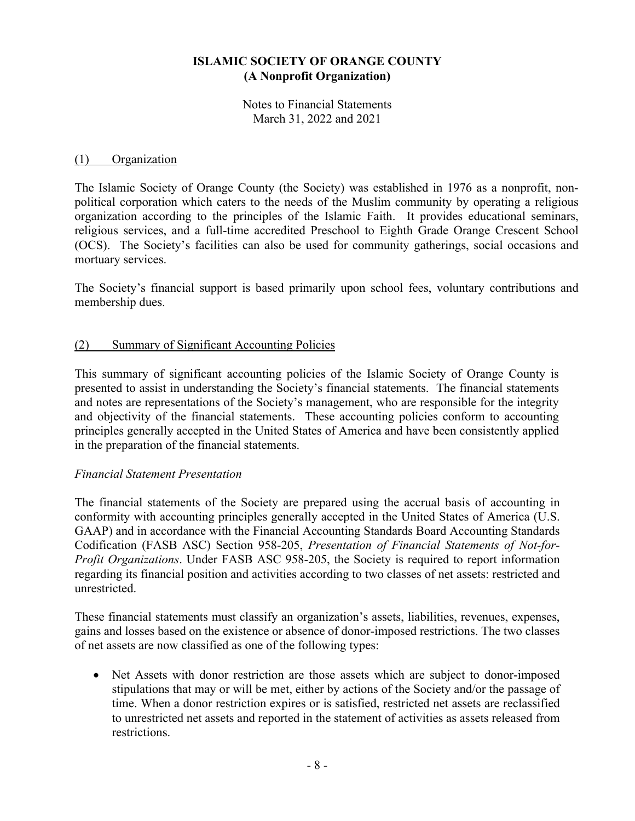Notes to Financial Statements March 31, 2022 and 2021

#### (1) Organization

The Islamic Society of Orange County (the Society) was established in 1976 as a nonprofit, nonpolitical corporation which caters to the needs of the Muslim community by operating a religious organization according to the principles of the Islamic Faith. It provides educational seminars, religious services, and a full-time accredited Preschool to Eighth Grade Orange Crescent School (OCS). The Society's facilities can also be used for community gatherings, social occasions and mortuary services.

The Society's financial support is based primarily upon school fees, voluntary contributions and membership dues.

#### (2) Summary of Significant Accounting Policies

This summary of significant accounting policies of the Islamic Society of Orange County is presented to assist in understanding the Society's financial statements. The financial statements and notes are representations of the Society's management, who are responsible for the integrity and objectivity of the financial statements. These accounting policies conform to accounting principles generally accepted in the United States of America and have been consistently applied in the preparation of the financial statements.

#### *Financial Statement Presentation*

The financial statements of the Society are prepared using the accrual basis of accounting in conformity with accounting principles generally accepted in the United States of America (U.S. GAAP) and in accordance with the Financial Accounting Standards Board Accounting Standards Codification (FASB ASC) Section 958-205, *Presentation of Financial Statements of Not-for-Profit Organizations*. Under FASB ASC 958-205, the Society is required to report information regarding its financial position and activities according to two classes of net assets: restricted and unrestricted.

These financial statements must classify an organization's assets, liabilities, revenues, expenses, gains and losses based on the existence or absence of donor-imposed restrictions. The two classes of net assets are now classified as one of the following types:

• Net Assets with donor restriction are those assets which are subject to donor-imposed stipulations that may or will be met, either by actions of the Society and/or the passage of time. When a donor restriction expires or is satisfied, restricted net assets are reclassified to unrestricted net assets and reported in the statement of activities as assets released from restrictions.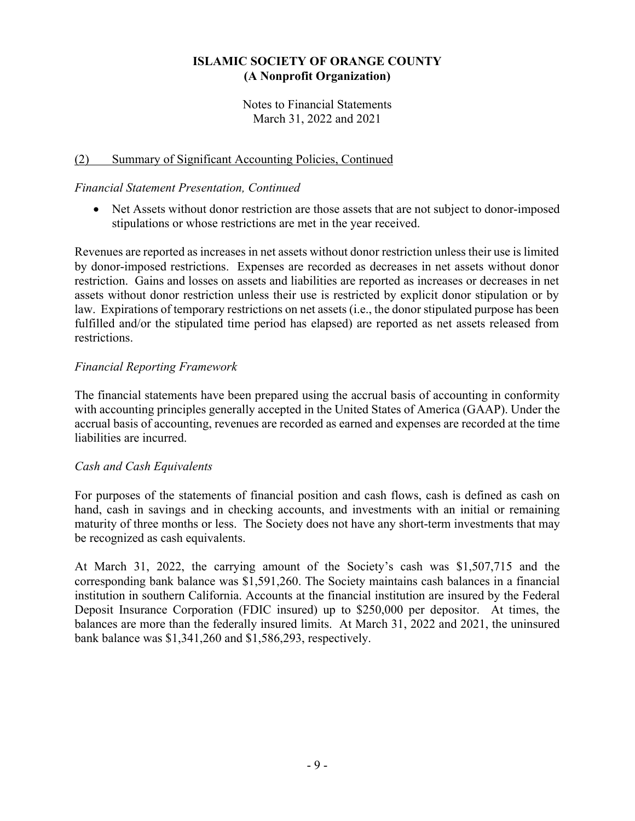Notes to Financial Statements March 31, 2022 and 2021

## (2) Summary of Significant Accounting Policies, Continued

#### *Financial Statement Presentation, Continued*

• Net Assets without donor restriction are those assets that are not subject to donor-imposed stipulations or whose restrictions are met in the year received.

Revenues are reported as increases in net assets without donor restriction unless their use is limited by donor-imposed restrictions. Expenses are recorded as decreases in net assets without donor restriction. Gains and losses on assets and liabilities are reported as increases or decreases in net assets without donor restriction unless their use is restricted by explicit donor stipulation or by law. Expirations of temporary restrictions on net assets (i.e., the donor stipulated purpose has been fulfilled and/or the stipulated time period has elapsed) are reported as net assets released from restrictions.

## *Financial Reporting Framework*

The financial statements have been prepared using the accrual basis of accounting in conformity with accounting principles generally accepted in the United States of America (GAAP). Under the accrual basis of accounting, revenues are recorded as earned and expenses are recorded at the time liabilities are incurred.

#### *Cash and Cash Equivalents*

For purposes of the statements of financial position and cash flows, cash is defined as cash on hand, cash in savings and in checking accounts, and investments with an initial or remaining maturity of three months or less. The Society does not have any short-term investments that may be recognized as cash equivalents.

At March 31, 2022, the carrying amount of the Society's cash was \$1,507,715 and the corresponding bank balance was \$1,591,260. The Society maintains cash balances in a financial institution in southern California. Accounts at the financial institution are insured by the Federal Deposit Insurance Corporation (FDIC insured) up to \$250,000 per depositor. At times, the balances are more than the federally insured limits. At March 31, 2022 and 2021, the uninsured bank balance was \$1,341,260 and \$1,586,293, respectively.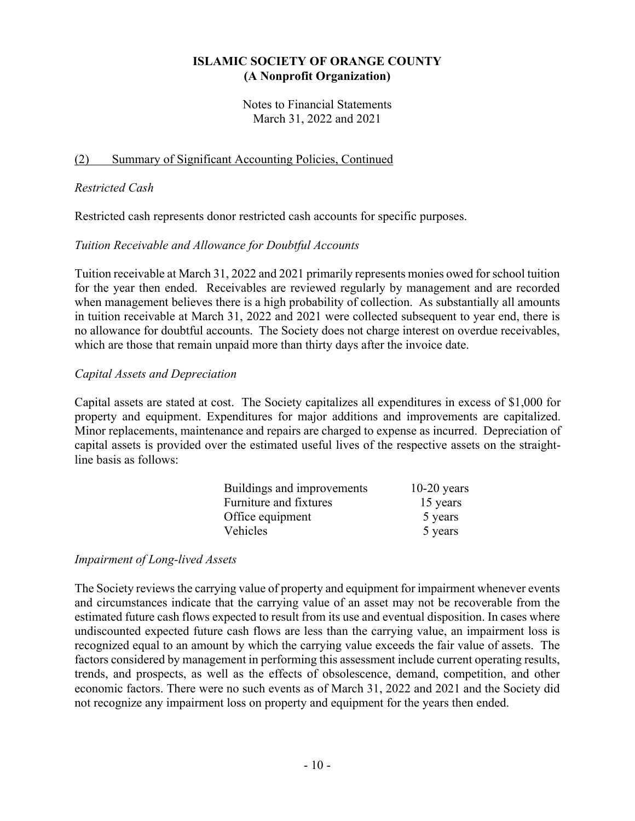Notes to Financial Statements March 31, 2022 and 2021

#### (2) Summary of Significant Accounting Policies, Continued

#### *Restricted Cash*

Restricted cash represents donor restricted cash accounts for specific purposes.

#### *Tuition Receivable and Allowance for Doubtful Accounts*

Tuition receivable at March 31, 2022 and 2021 primarily represents monies owed for school tuition for the year then ended. Receivables are reviewed regularly by management and are recorded when management believes there is a high probability of collection. As substantially all amounts in tuition receivable at March 31, 2022 and 2021 were collected subsequent to year end, there is no allowance for doubtful accounts. The Society does not charge interest on overdue receivables, which are those that remain unpaid more than thirty days after the invoice date.

#### *Capital Assets and Depreciation*

Capital assets are stated at cost. The Society capitalizes all expenditures in excess of \$1,000 for property and equipment. Expenditures for major additions and improvements are capitalized. Minor replacements, maintenance and repairs are charged to expense as incurred. Depreciation of capital assets is provided over the estimated useful lives of the respective assets on the straightline basis as follows:

| Buildings and improvements | $10-20$ years |
|----------------------------|---------------|
| Furniture and fixtures     | 15 years      |
| Office equipment           | 5 years       |
| Vehicles                   | 5 years       |

#### *Impairment of Long-lived Assets*

The Society reviews the carrying value of property and equipment for impairment whenever events and circumstances indicate that the carrying value of an asset may not be recoverable from the estimated future cash flows expected to result from its use and eventual disposition. In cases where undiscounted expected future cash flows are less than the carrying value, an impairment loss is recognized equal to an amount by which the carrying value exceeds the fair value of assets. The factors considered by management in performing this assessment include current operating results, trends, and prospects, as well as the effects of obsolescence, demand, competition, and other economic factors. There were no such events as of March 31, 2022 and 2021 and the Society did not recognize any impairment loss on property and equipment for the years then ended.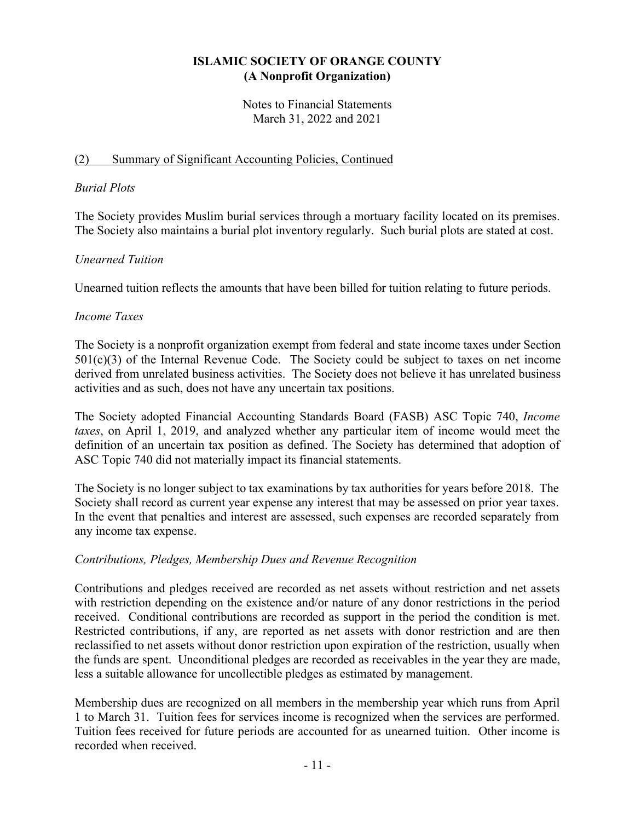Notes to Financial Statements March 31, 2022 and 2021

## (2) Summary of Significant Accounting Policies, Continued

#### *Burial Plots*

The Society provides Muslim burial services through a mortuary facility located on its premises. The Society also maintains a burial plot inventory regularly. Such burial plots are stated at cost.

## *Unearned Tuition*

Unearned tuition reflects the amounts that have been billed for tuition relating to future periods.

#### *Income Taxes*

The Society is a nonprofit organization exempt from federal and state income taxes under Section  $501(c)(3)$  of the Internal Revenue Code. The Society could be subject to taxes on net income derived from unrelated business activities. The Society does not believe it has unrelated business activities and as such, does not have any uncertain tax positions.

The Society adopted Financial Accounting Standards Board (FASB) ASC Topic 740, *Income taxes*, on April 1, 2019, and analyzed whether any particular item of income would meet the definition of an uncertain tax position as defined. The Society has determined that adoption of ASC Topic 740 did not materially impact its financial statements.

The Society is no longer subject to tax examinations by tax authorities for years before 2018. The Society shall record as current year expense any interest that may be assessed on prior year taxes. In the event that penalties and interest are assessed, such expenses are recorded separately from any income tax expense.

## *Contributions, Pledges, Membership Dues and Revenue Recognition*

Contributions and pledges received are recorded as net assets without restriction and net assets with restriction depending on the existence and/or nature of any donor restrictions in the period received. Conditional contributions are recorded as support in the period the condition is met. Restricted contributions, if any, are reported as net assets with donor restriction and are then reclassified to net assets without donor restriction upon expiration of the restriction, usually when the funds are spent. Unconditional pledges are recorded as receivables in the year they are made, less a suitable allowance for uncollectible pledges as estimated by management.

Membership dues are recognized on all members in the membership year which runs from April 1 to March 31. Tuition fees for services income is recognized when the services are performed. Tuition fees received for future periods are accounted for as unearned tuition. Other income is recorded when received.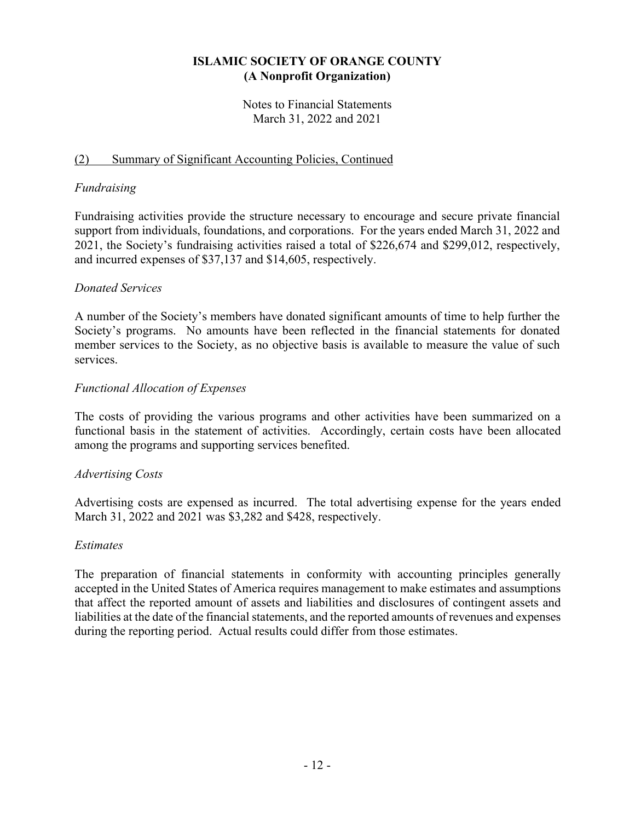Notes to Financial Statements March 31, 2022 and 2021

## (2) Summary of Significant Accounting Policies, Continued

#### *Fundraising*

Fundraising activities provide the structure necessary to encourage and secure private financial support from individuals, foundations, and corporations. For the years ended March 31, 2022 and 2021, the Society's fundraising activities raised a total of \$226,674 and \$299,012, respectively, and incurred expenses of \$37,137 and \$14,605, respectively.

## *Donated Services*

A number of the Society's members have donated significant amounts of time to help further the Society's programs. No amounts have been reflected in the financial statements for donated member services to the Society, as no objective basis is available to measure the value of such services.

## *Functional Allocation of Expenses*

The costs of providing the various programs and other activities have been summarized on a functional basis in the statement of activities. Accordingly, certain costs have been allocated among the programs and supporting services benefited.

#### *Advertising Costs*

Advertising costs are expensed as incurred. The total advertising expense for the years ended March 31, 2022 and 2021 was \$3,282 and \$428, respectively.

#### *Estimates*

The preparation of financial statements in conformity with accounting principles generally accepted in the United States of America requires management to make estimates and assumptions that affect the reported amount of assets and liabilities and disclosures of contingent assets and liabilities at the date of the financial statements, and the reported amounts of revenues and expenses during the reporting period. Actual results could differ from those estimates.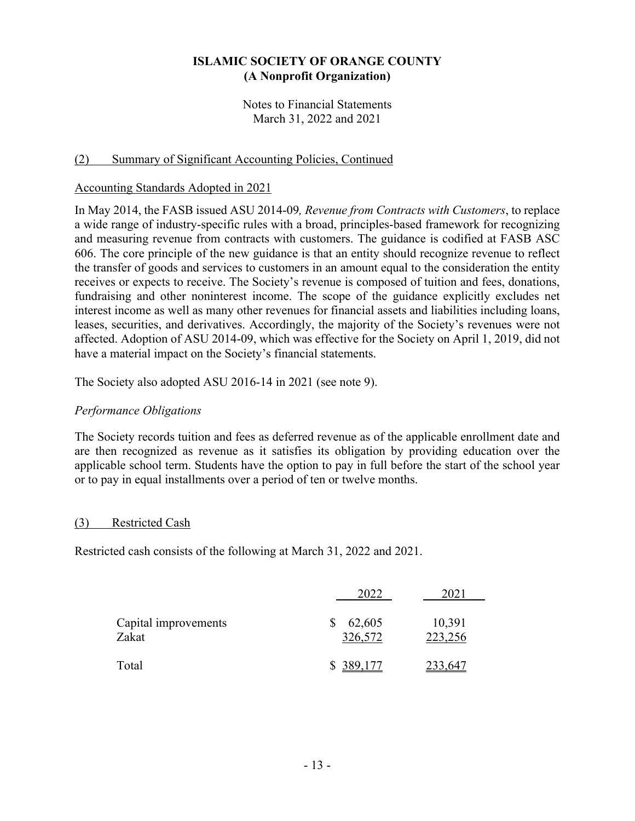Notes to Financial Statements March 31, 2022 and 2021

#### (2) Summary of Significant Accounting Policies, Continued

#### Accounting Standards Adopted in 2021

In May 2014, the FASB issued ASU 2014-09*, Revenue from Contracts with Customers*, to replace a wide range of industry-specific rules with a broad, principles-based framework for recognizing and measuring revenue from contracts with customers. The guidance is codified at FASB ASC 606. The core principle of the new guidance is that an entity should recognize revenue to reflect the transfer of goods and services to customers in an amount equal to the consideration the entity receives or expects to receive. The Society's revenue is composed of tuition and fees, donations, fundraising and other noninterest income. The scope of the guidance explicitly excludes net interest income as well as many other revenues for financial assets and liabilities including loans, leases, securities, and derivatives. Accordingly, the majority of the Society's revenues were not affected. Adoption of ASU 2014-09, which was effective for the Society on April 1, 2019, did not have a material impact on the Society's financial statements.

The Society also adopted ASU 2016-14 in 2021 (see note 9).

#### *Performance Obligations*

The Society records tuition and fees as deferred revenue as of the applicable enrollment date and are then recognized as revenue as it satisfies its obligation by providing education over the applicable school term. Students have the option to pay in full before the start of the school year or to pay in equal installments over a period of ten or twelve months.

#### (3) Restricted Cash

Restricted cash consists of the following at March 31, 2022 and 2021.

|                               | 2022              | 2021              |
|-------------------------------|-------------------|-------------------|
| Capital improvements<br>Zakat | 62,605<br>326,572 | 10,391<br>223,256 |
| Total                         | \$389,177         |                   |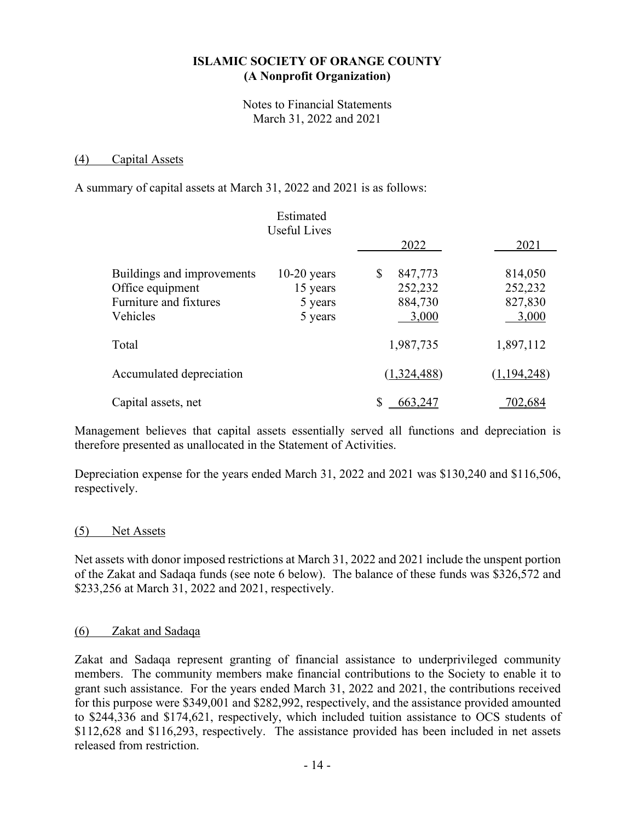Notes to Financial Statements March 31, 2022 and 2021

#### (4) Capital Assets

A summary of capital assets at March 31, 2022 and 2021 is as follows:

|                            | Estimated<br><b>Useful Lives</b> |               |             |
|----------------------------|----------------------------------|---------------|-------------|
|                            |                                  | 2022          | 2021        |
| Buildings and improvements | $10-20$ years                    | 847,773<br>\$ | 814,050     |
| Office equipment           | 15 years                         | 252,232       | 252,232     |
| Furniture and fixtures     | 5 years                          | 884,730       | 827,830     |
| Vehicles                   | 5 years                          | 3,000         | 3,000       |
| Total                      |                                  | 1,987,735     | 1,897,112   |
| Accumulated depreciation   |                                  | (1,324,488)   | (1,194,248) |
| Capital assets, net        |                                  | 663,247       | 702,684     |

Management believes that capital assets essentially served all functions and depreciation is therefore presented as unallocated in the Statement of Activities.

Depreciation expense for the years ended March 31, 2022 and 2021 was \$130,240 and \$116,506, respectively.

#### (5) Net Assets

Net assets with donor imposed restrictions at March 31, 2022 and 2021 include the unspent portion of the Zakat and Sadaqa funds (see note 6 below). The balance of these funds was \$326,572 and \$233,256 at March 31, 2022 and 2021, respectively.

#### (6) Zakat and Sadaqa

Zakat and Sadaqa represent granting of financial assistance to underprivileged community members. The community members make financial contributions to the Society to enable it to grant such assistance. For the years ended March 31, 2022 and 2021, the contributions received for this purpose were \$349,001 and \$282,992, respectively, and the assistance provided amounted to \$244,336 and \$174,621, respectively, which included tuition assistance to OCS students of \$112,628 and \$116,293, respectively. The assistance provided has been included in net assets released from restriction.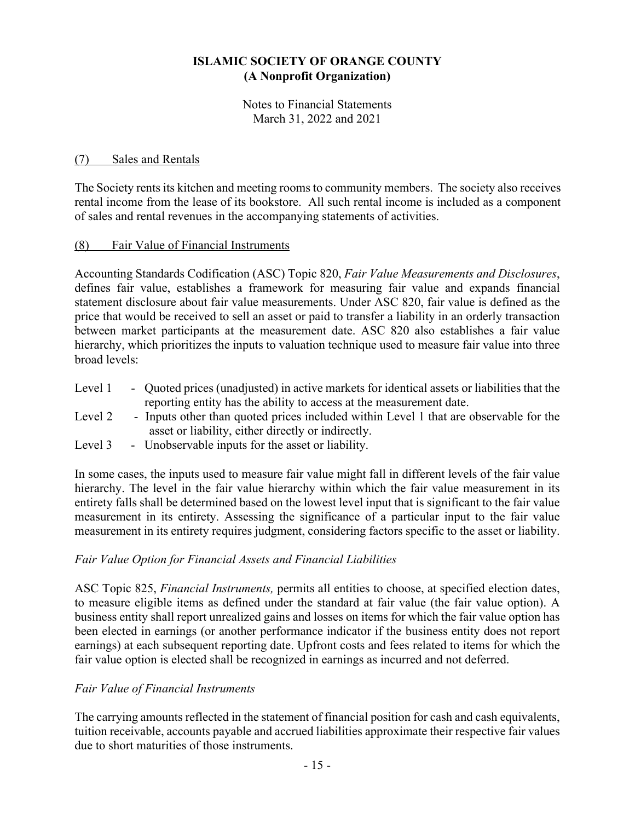Notes to Financial Statements March 31, 2022 and 2021

#### (7) Sales and Rentals

The Society rents its kitchen and meeting rooms to community members. The society also receives rental income from the lease of its bookstore. All such rental income is included as a component of sales and rental revenues in the accompanying statements of activities.

#### (8) Fair Value of Financial Instruments

Accounting Standards Codification (ASC) Topic 820, *Fair Value Measurements and Disclosures*, defines fair value, establishes a framework for measuring fair value and expands financial statement disclosure about fair value measurements. Under ASC 820, fair value is defined as the price that would be received to sell an asset or paid to transfer a liability in an orderly transaction between market participants at the measurement date. ASC 820 also establishes a fair value hierarchy, which prioritizes the inputs to valuation technique used to measure fair value into three broad levels:

- Level 1 Quoted prices (unadjusted) in active markets for identical assets or liabilities that the reporting entity has the ability to access at the measurement date.
- Level 2 Inputs other than quoted prices included within Level 1 that are observable for the asset or liability, either directly or indirectly.
- Level 3 Unobservable inputs for the asset or liability.

In some cases, the inputs used to measure fair value might fall in different levels of the fair value hierarchy. The level in the fair value hierarchy within which the fair value measurement in its entirety falls shall be determined based on the lowest level input that is significant to the fair value measurement in its entirety. Assessing the significance of a particular input to the fair value measurement in its entirety requires judgment, considering factors specific to the asset or liability.

#### *Fair Value Option for Financial Assets and Financial Liabilities*

ASC Topic 825, *Financial Instruments,* permits all entities to choose, at specified election dates, to measure eligible items as defined under the standard at fair value (the fair value option). A business entity shall report unrealized gains and losses on items for which the fair value option has been elected in earnings (or another performance indicator if the business entity does not report earnings) at each subsequent reporting date. Upfront costs and fees related to items for which the fair value option is elected shall be recognized in earnings as incurred and not deferred.

#### *Fair Value of Financial Instruments*

The carrying amounts reflected in the statement of financial position for cash and cash equivalents, tuition receivable, accounts payable and accrued liabilities approximate their respective fair values due to short maturities of those instruments.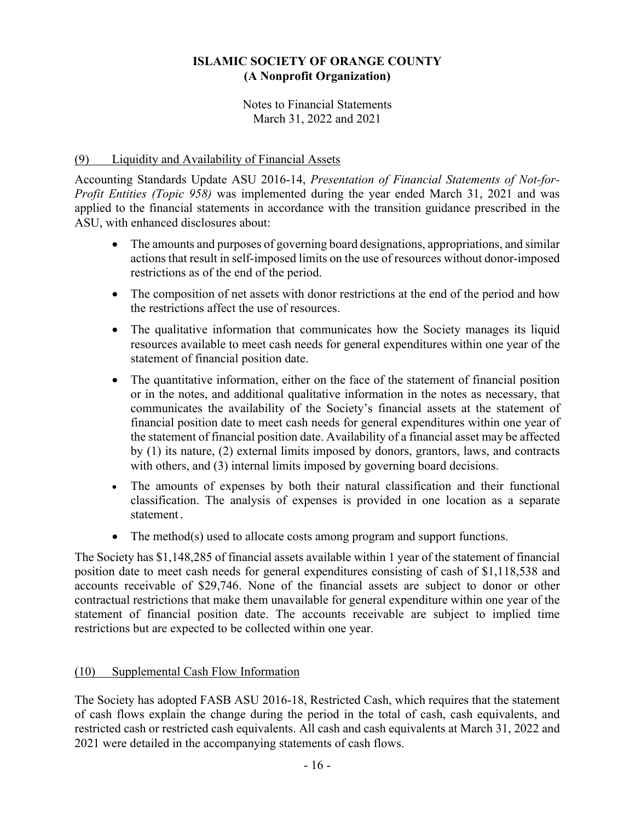Notes to Financial Statements March 31, 2022 and 2021

## (9) Liquidity and Availability of Financial Assets

Accounting Standards Update ASU 2016-14, *Presentation of Financial Statements of Not-for-Profit Entities (Topic 958)* was implemented during the year ended March 31, 2021 and was applied to the financial statements in accordance with the transition guidance prescribed in the ASU, with enhanced disclosures about:

- The amounts and purposes of governing board designations, appropriations, and similar actions that result in self-imposed limits on the use of resources without donor-imposed restrictions as of the end of the period.
- The composition of net assets with donor restrictions at the end of the period and how the restrictions affect the use of resources.
- The qualitative information that communicates how the Society manages its liquid resources available to meet cash needs for general expenditures within one year of the statement of financial position date.
- The quantitative information, either on the face of the statement of financial position or in the notes, and additional qualitative information in the notes as necessary, that communicates the availability of the Society's financial assets at the statement of financial position date to meet cash needs for general expenditures within one year of the statement of financial position date. Availability of a financial asset may be affected by (1) its nature, (2) external limits imposed by donors, grantors, laws, and contracts with others, and (3) internal limits imposed by governing board decisions.
- The amounts of expenses by both their natural classification and their functional classification. The analysis of expenses is provided in one location as a separate statement.
- The method(s) used to allocate costs among program and support functions.

The Society has \$1,148,285 of financial assets available within 1 year of the statement of financial position date to meet cash needs for general expenditures consisting of cash of \$1,118,538 and accounts receivable of \$29,746. None of the financial assets are subject to donor or other contractual restrictions that make them unavailable for general expenditure within one year of the statement of financial position date. The accounts receivable are subject to implied time restrictions but are expected to be collected within one year.

#### (10) Supplemental Cash Flow Information

The Society has adopted FASB ASU 2016-18, Restricted Cash, which requires that the statement of cash flows explain the change during the period in the total of cash, cash equivalents, and restricted cash or restricted cash equivalents. All cash and cash equivalents at March 31, 2022 and 2021 were detailed in the accompanying statements of cash flows.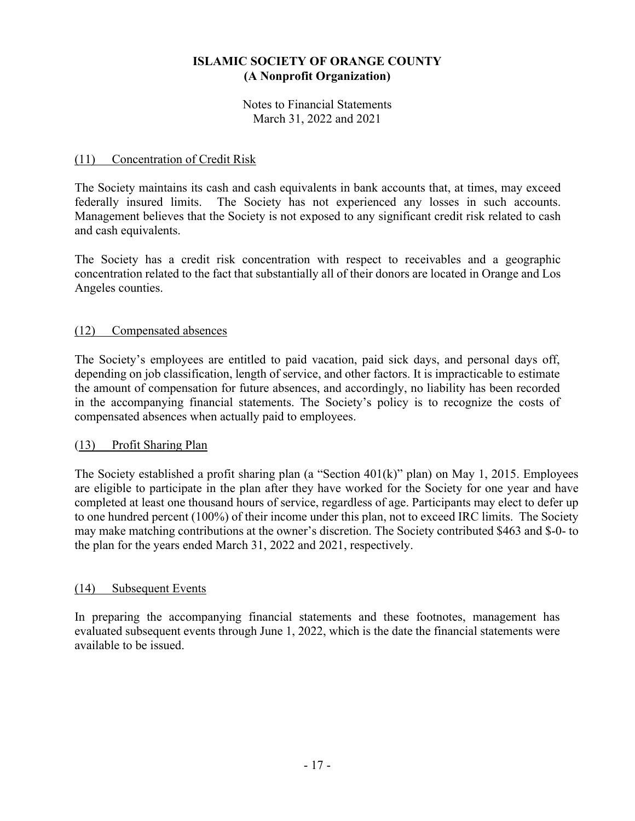Notes to Financial Statements March 31, 2022 and 2021

## (11) Concentration of Credit Risk

The Society maintains its cash and cash equivalents in bank accounts that, at times, may exceed federally insured limits. The Society has not experienced any losses in such accounts. Management believes that the Society is not exposed to any significant credit risk related to cash and cash equivalents.

The Society has a credit risk concentration with respect to receivables and a geographic concentration related to the fact that substantially all of their donors are located in Orange and Los Angeles counties.

#### (12) Compensated absences

The Society's employees are entitled to paid vacation, paid sick days, and personal days off, depending on job classification, length of service, and other factors. It is impracticable to estimate the amount of compensation for future absences, and accordingly, no liability has been recorded in the accompanying financial statements. The Society's policy is to recognize the costs of compensated absences when actually paid to employees.

#### (13) Profit Sharing Plan

The Society established a profit sharing plan (a "Section 401(k)" plan) on May 1, 2015. Employees are eligible to participate in the plan after they have worked for the Society for one year and have completed at least one thousand hours of service, regardless of age. Participants may elect to defer up to one hundred percent (100%) of their income under this plan, not to exceed IRC limits. The Society may make matching contributions at the owner's discretion. The Society contributed \$463 and \$-0- to the plan for the years ended March 31, 2022 and 2021, respectively.

#### (14) Subsequent Events

In preparing the accompanying financial statements and these footnotes, management has evaluated subsequent events through June 1, 2022, which is the date the financial statements were available to be issued.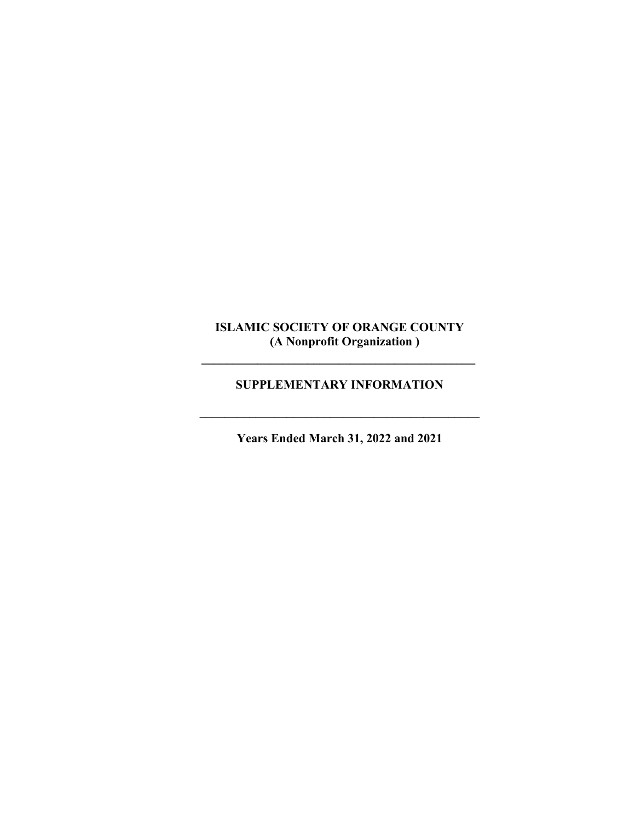$\mathcal{L} = \{ \mathcal{L} \}$ 

# **SUPPLEMENTARY INFORMATION**

**Years Ended March 31, 2022 and 2021** 

 $\mathcal{L} = \{ \mathcal{L} \}$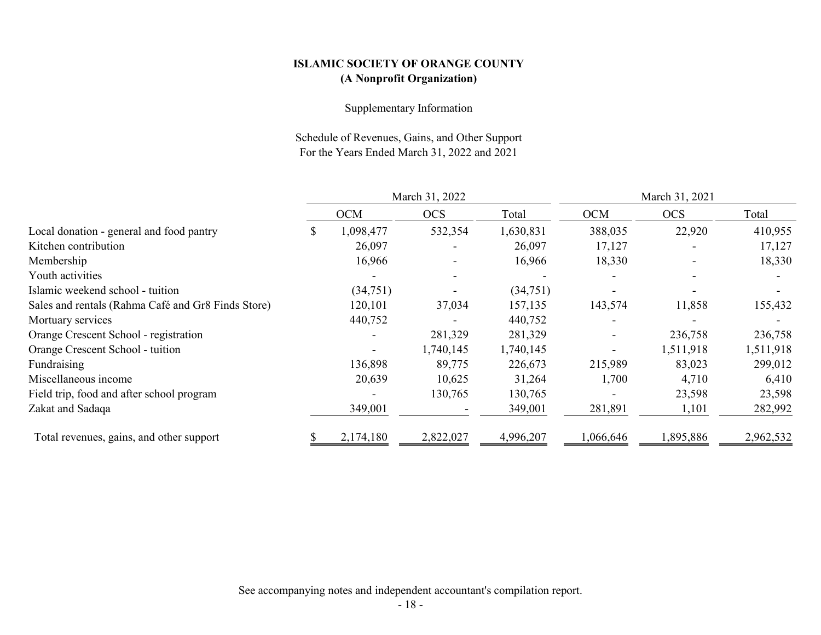#### Supplementary Information

Schedule of Revenues, Gains, and Other Support For the Years Ended March 31, 2022 and 2021

|                                                    | March 31, 2022 |            |            | March 31, 2021 |            |            |           |
|----------------------------------------------------|----------------|------------|------------|----------------|------------|------------|-----------|
|                                                    |                | <b>OCM</b> | <b>OCS</b> | Total          | <b>OCM</b> | <b>OCS</b> | Total     |
| Local donation - general and food pantry           |                | 1,098,477  | 532,354    | 1,630,831      | 388,035    | 22,920     | 410,955   |
| Kitchen contribution                               |                | 26,097     |            | 26,097         | 17,127     |            | 17,127    |
| Membership                                         |                | 16,966     |            | 16,966         | 18,330     |            | 18,330    |
| Youth activities                                   |                |            |            |                |            |            |           |
| Islamic weekend school - tuition                   |                | (34,751)   |            | (34,751)       |            |            |           |
| Sales and rentals (Rahma Café and Gr8 Finds Store) |                | 120,101    | 37,034     | 157,135        | 143,574    | 11,858     | 155,432   |
| Mortuary services                                  |                | 440,752    |            | 440,752        |            |            |           |
| Orange Crescent School - registration              |                |            | 281,329    | 281,329        |            | 236,758    | 236,758   |
| Orange Crescent School - tuition                   |                |            | 1,740,145  | 1,740,145      |            | 1,511,918  | 1,511,918 |
| Fundraising                                        |                | 136,898    | 89,775     | 226,673        | 215,989    | 83,023     | 299,012   |
| Miscellaneous income                               |                | 20,639     | 10,625     | 31,264         | 1,700      | 4,710      | 6,410     |
| Field trip, food and after school program          |                |            | 130,765    | 130,765        |            | 23,598     | 23,598    |
| Zakat and Sadaqa                                   |                | 349,001    |            | 349,001        | 281,891    | 1,101      | 282,992   |
| Total revenues, gains, and other support           |                | 2,174,180  | 2,822,027  | 4,996,207      | 1,066,646  | 1,895,886  | 2,962,532 |